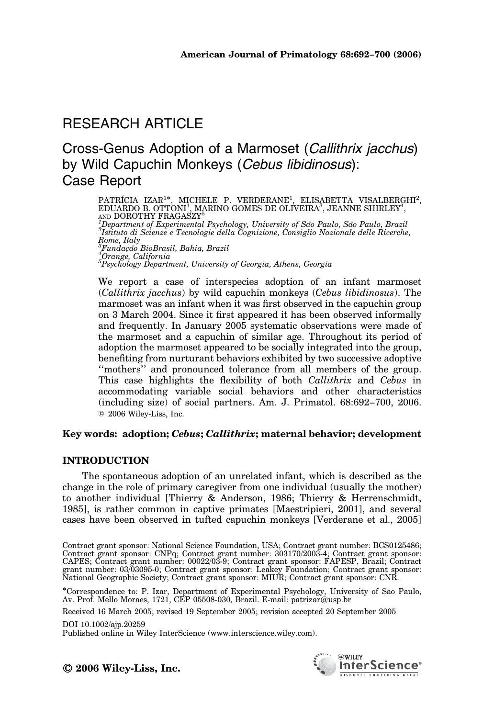# RESEARCH ARTICLE

## Cross-Genus Adoption of a Marmoset (Callithrix jacchus) by Wild Capuchin Monkeys (Cebus libidinosus): Case Report

PATRÍCIA IZAR<sup>1\*</sup>, MICHELE P. VERDERANE<sup>1</sup>, ELISABETTA VISALBERGHI<sup>2</sup>,<br>EDUARDO B. OTTONI<sup>1</sup>, MARINO GOMES DE OLIVEIRA<sup>3</sup>, JEANNE SHIRLEY<sup>4</sup>,<br><sup>4</sup>Department of Experimental Psychology University of São Paulo São Paulo Brazil 'Department of Experimental Psychology, University of São Paulo, São Paulo, Brazil<br><sup>2</sup>Istituto di Scienze e Tecnologie della Cognizione, Consiglio Nazionale delle Ricerche, Rome, Italy<br><sup>3</sup>Fundacão Fundac-a˜o BioBrasil, Bahia, Brazil <sup>4</sup> Orange, California  $^5$ Psychology Department, University of Georgia, Athens, Georgia

We report a case of interspecies adoption of an infant marmoset (Callithrix jacchus) by wild capuchin monkeys (Cebus libidinosus). The marmoset was an infant when it was first observed in the capuchin group on 3 March 2004. Since it first appeared it has been observed informally and frequently. In January 2005 systematic observations were made of the marmoset and a capuchin of similar age. Throughout its period of adoption the marmoset appeared to be socially integrated into the group, benefiting from nurturant behaviors exhibited by two successive adoptive "mothers" and pronounced tolerance from all members of the group. This case highlights the flexibility of both *Callithrix* and *Cebus* in accommodating variable social behaviors and other characteristics (including size) of social partners. Am. J. Primatol. 68:692–700, 2006. c 2006 Wiley-Liss, Inc.

## Key words: adoption; Cebus; Callithrix; maternal behavior; development

## INTRODUCTION

The spontaneous adoption of an unrelated infant, which is described as the change in the role of primary caregiver from one individual (usually the mother) to another individual [Thierry & Anderson, 1986; Thierry & Herrenschmidt, 1985], is rather common in captive primates [Maestripieri, 2001], and several cases have been observed in tufted capuchin monkeys [Verderane et al., 2005]

Correspondence to: P. Izar, Department of Experimental Psychology, University of Sa˜o Paulo, Av. Prof. Mello Moraes, 1721, CEP 05508-030, Brazil. E-mail: patrizar@usp.br

Received 16 March 2005; revised 19 September 2005; revision accepted 20 September 2005

#### DOI 10.1002/ajp.20259

Published online in Wiley InterScience (www.interscience.wiley.com).

© 2006 Wiley-Liss, Inc.



Contract grant sponsor: National Science Foundation, USA; Contract grant number: BCS0125486; Contract grant sponsor: CNPq; Contract grant number: 303170/2003-4; Contract grant sponsor:<br>CAPES; Contract grant number: 00022/03-9; Contract grant sponsor: FAPESP, Brazil; Contract<br>grant number: 03/03095-0; Contract gran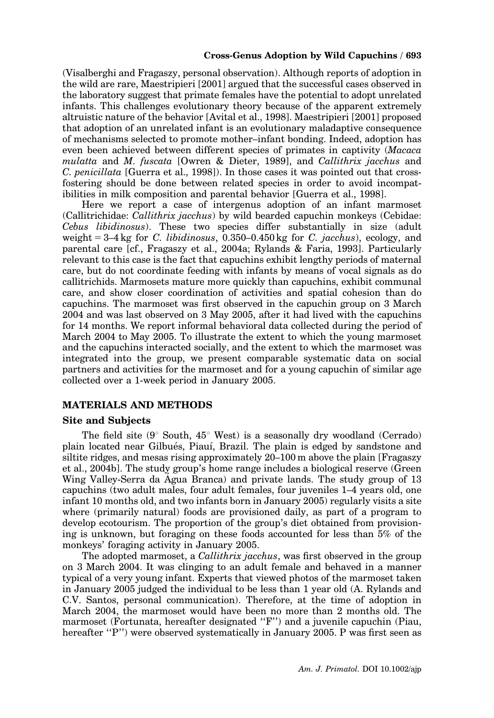#### Cross-Genus Adoption by Wild Capuchins / 693

(Visalberghi and Fragaszy, personal observation). Although reports of adoption in the wild are rare, Maestripieri [2001] argued that the successful cases observed in the laboratory suggest that primate females have the potential to adopt unrelated infants. This challenges evolutionary theory because of the apparent extremely altruistic nature of the behavior [Avital et al., 1998]. Maestripieri [2001] proposed that adoption of an unrelated infant is an evolutionary maladaptive consequence of mechanisms selected to promote mother–infant bonding. Indeed, adoption has even been achieved between different species of primates in captivity (Macaca mulatta and M. fuscata [Owren & Dieter, 1989], and Callithrix jacchus and C. penicillata [Guerra et al., 1998]). In those cases it was pointed out that crossfostering should be done between related species in order to avoid incompatibilities in milk composition and parental behavior [Guerra et al., 1998].

Here we report a case of intergenus adoption of an infant marmoset (Callitrichidae: Callithrix jacchus) by wild bearded capuchin monkeys (Cebidae: Cebus libidinosus). These two species differ substantially in size (adult weight  $= 3-4$  kg for C. libidinosus, 0.350–0.450 kg for C. jacchus), ecology, and parental care [cf., Fragaszy et al., 2004a; Rylands & Faria, 1993]. Particularly relevant to this case is the fact that capuchins exhibit lengthy periods of maternal care, but do not coordinate feeding with infants by means of vocal signals as do callitrichids. Marmosets mature more quickly than capuchins, exhibit communal care, and show closer coordination of activities and spatial cohesion than do capuchins. The marmoset was first observed in the capuchin group on 3 March 2004 and was last observed on 3 May 2005, after it had lived with the capuchins for 14 months. We report informal behavioral data collected during the period of March 2004 to May 2005. To illustrate the extent to which the young marmoset and the capuchins interacted socially, and the extent to which the marmoset was integrated into the group, we present comparable systematic data on social partners and activities for the marmoset and for a young capuchin of similar age collected over a 1-week period in January 2005.

#### MATERIALS AND METHODS

#### Site and Subjects

The field site  $(9^{\circ}$  South,  $45^{\circ}$  West) is a seasonally dry woodland (Cerrado) plain located near Gilbués, Piauí, Brazil. The plain is edged by sandstone and siltite ridges, and mesas rising approximately 20–100 m above the plain [Fragaszy et al., 2004b]. The study group's home range includes a biological reserve (Green Wing Valley-Serra da Agua Branca) and private lands. The study group of 13 capuchins (two adult males, four adult females, four juveniles 1–4 years old, one infant 10 months old, and two infants born in January 2005) regularly visits a site where (primarily natural) foods are provisioned daily, as part of a program to develop ecotourism. The proportion of the group's diet obtained from provisioning is unknown, but foraging on these foods accounted for less than 5% of the monkeys' foraging activity in January 2005.

The adopted marmoset, a *Callithrix jacchus*, was first observed in the group on 3 March 2004. It was clinging to an adult female and behaved in a manner typical of a very young infant. Experts that viewed photos of the marmoset taken in January 2005 judged the individual to be less than 1 year old (A. Rylands and C.V. Santos, personal communication). Therefore, at the time of adoption in March 2004, the marmoset would have been no more than 2 months old. The marmoset (Fortunata, hereafter designated ''F'') and a juvenile capuchin (Piau, hereafter "P") were observed systematically in January 2005. P was first seen as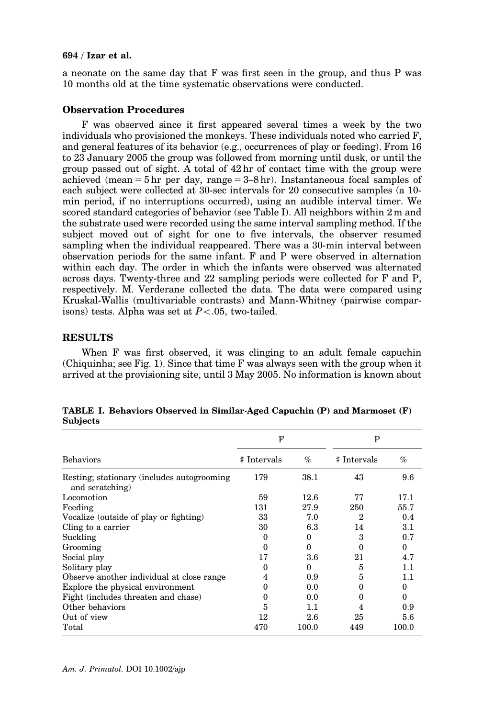#### 694 / Izar et al.

a neonate on the same day that F was first seen in the group, and thus P was 10 months old at the time systematic observations were conducted.

#### Observation Procedures

F was observed since it first appeared several times a week by the two individuals who provisioned the monkeys. These individuals noted who carried F, and general features of its behavior (e.g., occurrences of play or feeding). From 16 to 23 January 2005 the group was followed from morning until dusk, or until the group passed out of sight. A total of  $42 \text{ hr}$  of contact time with the group were achieved (mean = 5 hr per day, range =  $3-8$  hr). Instantaneous focal samples of each subject were collected at 30-sec intervals for 20 consecutive samples (a 10 min period, if no interruptions occurred), using an audible interval timer. We scored standard categories of behavior (see Table I). All neighbors within 2 m and the substrate used were recorded using the same interval sampling method. If the subject moved out of sight for one to five intervals, the observer resumed sampling when the individual reappeared. There was a 30-min interval between observation periods for the same infant. F and P were observed in alternation within each day. The order in which the infants were observed was alternated across days. Twenty-three and 22 sampling periods were collected for F and P, respectively. M. Verderane collected the data. The data were compared using Kruskal-Wallis (multivariable contrasts) and Mann-Whitney (pairwise comparisons) tests. Alpha was set at  $P < .05$ , two-tailed.

#### **RESULTS**

When F was first observed, it was clinging to an adult female capuchin (Chiquinha; see Fig. 1). Since that time F was always seen with the group when it arrived at the provisioning site, until 3 May 2005. No information is known about

|                                                                | F           |          | P              |          |
|----------------------------------------------------------------|-------------|----------|----------------|----------|
| <b>Behaviors</b>                                               | # Intervals | $\%$     | # Intervals    | $\%$     |
| Resting; stationary (includes autogrooming)<br>and scratching) | 179         | 38.1     | 43             | 9.6      |
| Locomotion                                                     | 59          | 12.6     | 77             | 17.1     |
| Feeding                                                        | 131         | 27.9     | 250            | 55.7     |
| Vocalize (outside of play or fighting)                         | 33          | 7.0      | $\overline{2}$ | 0.4      |
| Cling to a carrier                                             | 30          | 6.3      | 14             | $3.1\,$  |
| Suckling                                                       | 0           | 0        | 3              | 0.7      |
| Grooming                                                       | 0           | $\Omega$ | $\theta$       | $\Omega$ |
| Social play                                                    | 17          | 3.6      | 21             | 4.7      |
| Solitary play                                                  | 0           | $\theta$ | 5              | 1.1      |
| Observe another individual at close range                      | 4           | 0.9      | 5              | 1.1      |
| Explore the physical environment                               | 0           | 0.0      | 0              | 0        |
| Fight (includes threaten and chase)                            | 0           | 0.0      | 0              | $\Omega$ |
| Other behaviors                                                | 5           | 1.1      | 4              | 0.9      |
| Out of view                                                    | 12          | 2.6      | 25             | 5.6      |
| Total                                                          | 470         | 100.0    | 449            | 100.0    |

TABLE I. Behaviors Observed in Similar-Aged Capuchin (P) and Marmoset (F) Subjects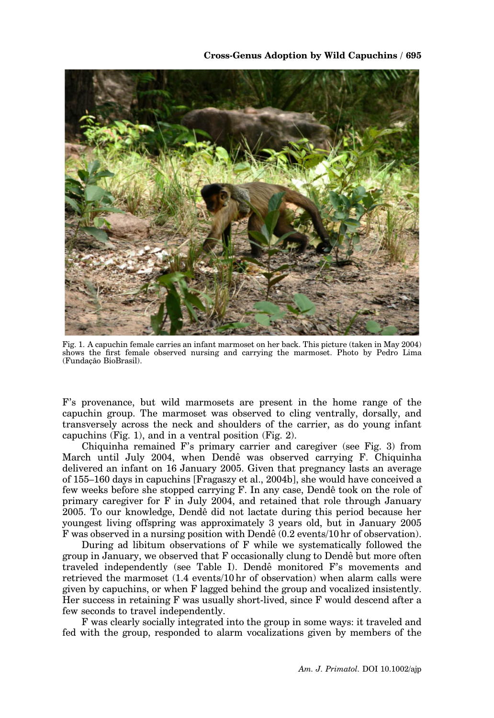

Fig. 1. A capuchin female carries an infant marmoset on her back. This picture (taken in May 2004) shows the first female observed nursing and carrying the marmoset. Photo by Pedro Lima (Fundacão BioBrasil).

F's provenance, but wild marmosets are present in the home range of the capuchin group. The marmoset was observed to cling ventrally, dorsally, and transversely across the neck and shoulders of the carrier, as do young infant capuchins (Fig. 1), and in a ventral position (Fig. 2).

Chiquinha remained F's primary carrier and caregiver (see Fig. 3) from March until July 2004, when Dendê was observed carrying F. Chiquinha delivered an infant on 16 January 2005. Given that pregnancy lasts an average of 155–160 days in capuchins [Fragaszy et al., 2004b], she would have conceived a few weeks before she stopped carrying F. In any case, Dendeˆ took on the role of primary caregiver for F in July 2004, and retained that role through January 2005. To our knowledge, Dendeˆ did not lactate during this period because her youngest living offspring was approximately 3 years old, but in January 2005 F was observed in a nursing position with Dendê (0.2 events/10 hr of observation).

During ad libitum observations of F while we systematically followed the group in January, we observed that F occasionally clung to Dendeˆ but more often traveled independently (see Table I). Dendeˆ monitored F's movements and retrieved the marmoset (1.4 events/10 hr of observation) when alarm calls were given by capuchins, or when F lagged behind the group and vocalized insistently. Her success in retaining F was usually short-lived, since F would descend after a few seconds to travel independently.

F was clearly socially integrated into the group in some ways: it traveled and fed with the group, responded to alarm vocalizations given by members of the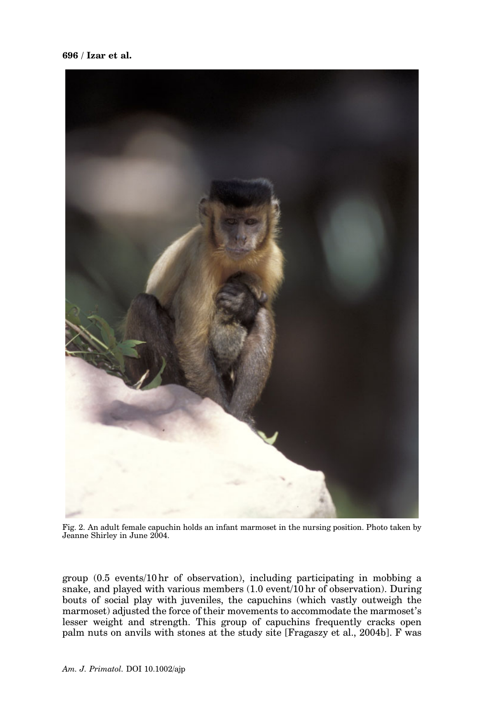696 / Izar et al.



Fig. 2. An adult female capuchin holds an infant marmoset in the nursing position. Photo taken by Jeanne Shirley in June 2004.

group (0.5 events/10 hr of observation), including participating in mobbing a snake, and played with various members (1.0 event/10 hr of observation). During bouts of social play with juveniles, the capuchins (which vastly outweigh the marmoset) adjusted the force of their movements to accommodate the marmoset's lesser weight and strength. This group of capuchins frequently cracks open palm nuts on anvils with stones at the study site [Fragaszy et al., 2004b]. F was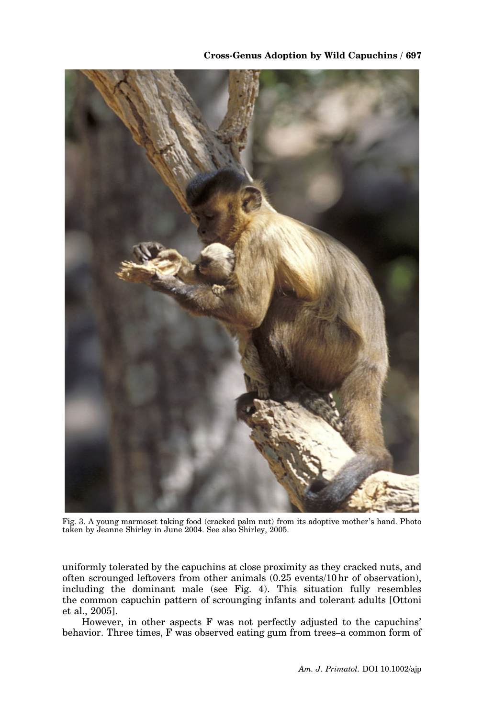

Fig. 3. A young marmoset taking food (cracked palm nut) from its adoptive mother's hand. Photo taken by Jeanne Shirley in June 2004. See also Shirley, 2005.

uniformly tolerated by the capuchins at close proximity as they cracked nuts, and often scrounged leftovers from other animals (0.25 events/10 hr of observation), including the dominant male (see Fig. 4). This situation fully resembles the common capuchin pattern of scrounging infants and tolerant adults [Ottoni et al., 2005].

However, in other aspects F was not perfectly adjusted to the capuchins' behavior. Three times, F was observed eating gum from trees–a common form of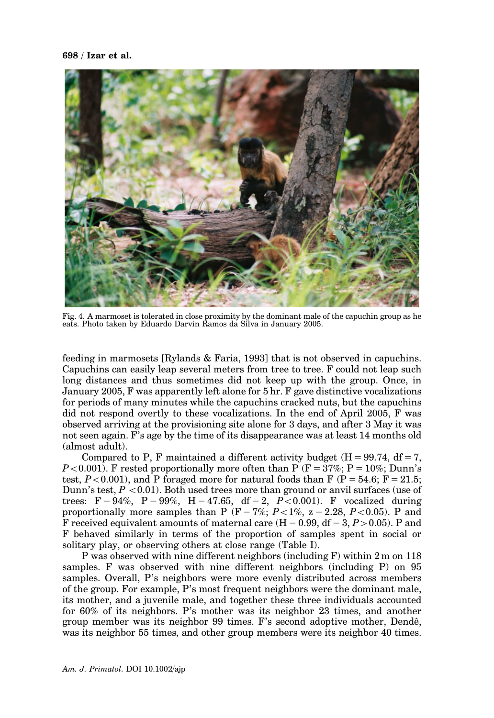#### 698 / Izar et al.



Fig. 4. A marmoset is tolerated in close proximity by the dominant male of the capuchin group as he eats. Photo taken by Eduardo Darvin Ramos da Silva in January 2005.

feeding in marmosets [Rylands & Faria, 1993] that is not observed in capuchins. Capuchins can easily leap several meters from tree to tree. F could not leap such long distances and thus sometimes did not keep up with the group. Once, in January 2005, F was apparently left alone for 5 hr. F gave distinctive vocalizations for periods of many minutes while the capuchins cracked nuts, but the capuchins did not respond overtly to these vocalizations. In the end of April 2005, F was observed arriving at the provisioning site alone for 3 days, and after 3 May it was not seen again. F's age by the time of its disappearance was at least 14 months old (almost adult).

Compared to P, F maintained a different activity budget  $(H = 99.74, df = 7$ .  $P<0.001$ ). F rested proportionally more often than P (F = 37%; P = 10%; Dunn's test,  $P < 0.001$ ), and P foraged more for natural foods than F (P = 54.6; F = 21.5; Dunn's test,  $P < 0.01$ ). Both used trees more than ground or anvil surfaces (use of trees:  $F = 94\%, P = 99\%, H = 47.65, df = 2, P < 0.001$ . F vocalized during proportionally more samples than P ( $F = 7\%$ ;  $P < 1\%$ ,  $z = 2.28$ ,  $P < 0.05$ ). P and F received equivalent amounts of maternal care  $(H = 0.99, df = 3, P > 0.05)$ . P and F behaved similarly in terms of the proportion of samples spent in social or solitary play, or observing others at close range (Table I).

P was observed with nine different neighbors (including F) within 2 m on 118 samples. F was observed with nine different neighbors (including P) on 95 samples. Overall, P's neighbors were more evenly distributed across members of the group. For example, P's most frequent neighbors were the dominant male, its mother, and a juvenile male, and together these three individuals accounted for 60% of its neighbors. P's mother was its neighbor 23 times, and another group member was its neighbor 99 times. F's second adoptive mother, Dendê, was its neighbor 55 times, and other group members were its neighbor 40 times.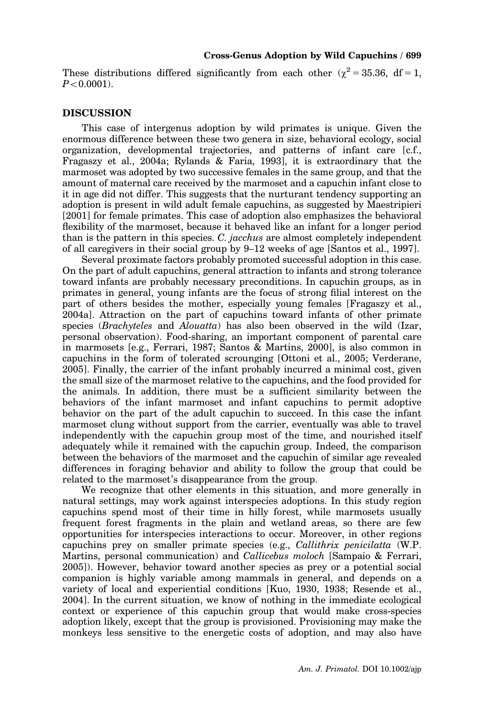These distributions differed significantly from each other ( $\gamma^2 = 35.36$ , df = 1,  $P < 0.0001$ ).

#### **DISCUSSION**

This case of intergenus adoption by wild primates is unique. Given the enormous difference between these two genera in size, behavioral ecology, social organization, developmental trajectories, and patterns of infant care [c.f., Fragaszy et al., 2004a; Rylands & Faria, 1993], it is extraordinary that the marmoset was adopted by two successive females in the same group, and that the amount of maternal care received by the marmoset and a capuchin infant close to it in age did not differ. This suggests that the nurturant tendency supporting an adoption is present in wild adult female capuchins, as suggested by Maestripieri [2001] for female primates. This case of adoption also emphasizes the behavioral flexibility of the marmoset, because it behaved like an infant for a longer period than is the pattern in this species. C. jacchus are almost completely independent of all caregivers in their social group by 9–12 weeks of age [Santos et al., 1997].

Several proximate factors probably promoted successful adoption in this case. On the part of adult capuchins, general attraction to infants and strong tolerance toward infants are probably necessary preconditions. In capuchin groups, as in primates in general, young infants are the focus of strong filial interest on the part of others besides the mother, especially young females [Fragaszy et al., 2004a]. Attraction on the part of capuchins toward infants of other primate species (Brachyteles and Alouatta) has also been observed in the wild (Izar, personal observation). Food-sharing, an important component of parental care in marmosets [e.g., Ferrari, 1987; Santos & Martins, 2000], is also common in capuchins in the form of tolerated scrounging [Ottoni et al., 2005; Verderane, 2005]. Finally, the carrier of the infant probably incurred a minimal cost, given the small size of the marmoset relative to the capuchins, and the food provided for the animals. In addition, there must be a sufficient similarity between the behaviors of the infant marmoset and infant capuchins to permit adoptive behavior on the part of the adult capuchin to succeed. In this case the infant marmoset clung without support from the carrier, eventually was able to travel independently with the capuchin group most of the time, and nourished itself adequately while it remained with the capuchin group. Indeed, the comparison between the behaviors of the marmoset and the capuchin of similar age revealed differences in foraging behavior and ability to follow the group that could be related to the marmoset's disappearance from the group.

We recognize that other elements in this situation, and more generally in natural settings, may work against interspecies adoptions. In this study region capuchins spend most of their time in hilly forest, while marmosets usually frequent forest fragments in the plain and wetland areas, so there are few opportunities for interspecies interactions to occur. Moreover, in other regions capuchins prey on smaller primate species (e.g., Callithrix penicilatta (W.P. Martins, personal communication) and *Callicebus moloch* [Sampaio & Ferrari, 2005]). However, behavior toward another species as prey or a potential social companion is highly variable among mammals in general, and depends on a variety of local and experiential conditions [Kuo, 1930, 1938; Resende et al., 2004]. In the current situation, we know of nothing in the immediate ecological context or experience of this capuchin group that would make cross-species adoption likely, except that the group is provisioned. Provisioning may make the monkeys less sensitive to the energetic costs of adoption, and may also have